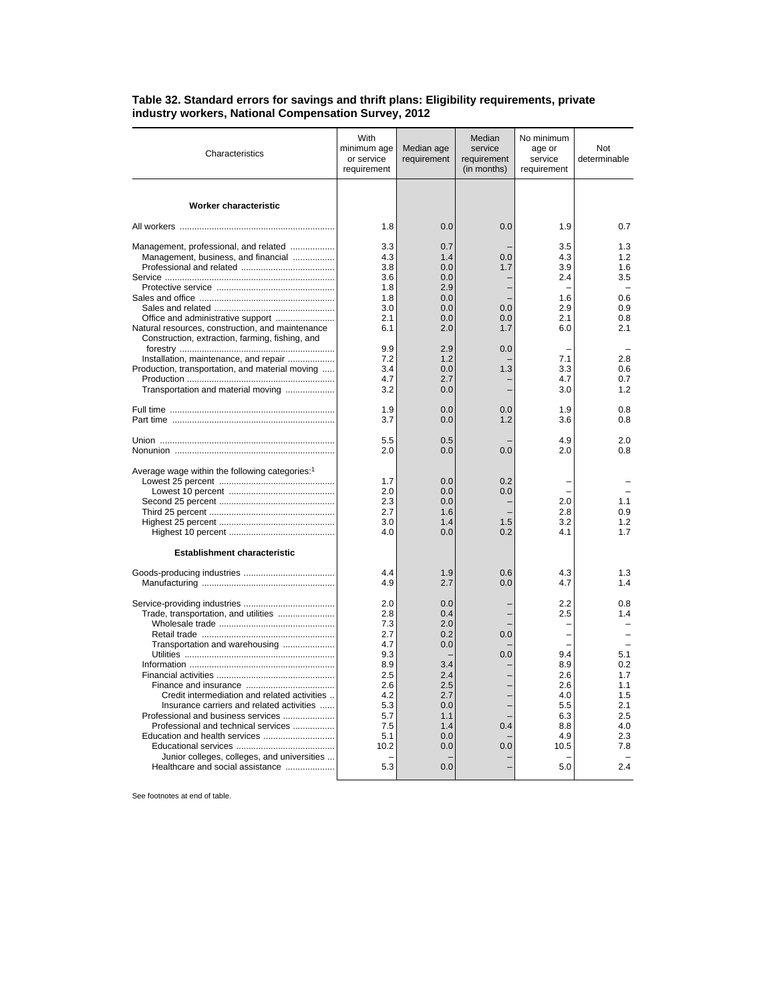| Characteristics                                                                                                                                                                                                                                                                                                                                                      | With<br>minimum age<br>or service<br>requirement                                                              | Median age<br>requirement                                                                             | Median<br>service<br>requirement<br>(in months) | No minimum<br>age or<br>service<br>requirement                                           | Not<br>determinable                                                                     |
|----------------------------------------------------------------------------------------------------------------------------------------------------------------------------------------------------------------------------------------------------------------------------------------------------------------------------------------------------------------------|---------------------------------------------------------------------------------------------------------------|-------------------------------------------------------------------------------------------------------|-------------------------------------------------|------------------------------------------------------------------------------------------|-----------------------------------------------------------------------------------------|
| Worker characteristic                                                                                                                                                                                                                                                                                                                                                |                                                                                                               |                                                                                                       |                                                 |                                                                                          |                                                                                         |
|                                                                                                                                                                                                                                                                                                                                                                      | 1.8                                                                                                           | 0.0                                                                                                   | 0.0                                             | 1.9                                                                                      | 0.7                                                                                     |
| Management, professional, and related<br>Management, business, and financial                                                                                                                                                                                                                                                                                         | 3.3<br>4.3<br>3.8<br>3.6<br>1.8<br>1.8                                                                        | 0.7<br>1.4<br>0.0<br>0.0<br>2.9<br>0.0                                                                | 0.0<br>1.7                                      | 3.5<br>4.3<br>3.9<br>2.4<br>1.6                                                          | 1.3<br>1.2<br>1.6<br>3.5<br>0.6                                                         |
| Natural resources, construction, and maintenance<br>Construction, extraction, farming, fishing, and                                                                                                                                                                                                                                                                  | 3.0<br>2.1<br>6.1                                                                                             | 0.0<br>0.0<br>2.0                                                                                     | 0.0<br>0.0<br>1.7                               | 2.9<br>2.1<br>6.0                                                                        | 0.9<br>0.8<br>2.1                                                                       |
| Installation, maintenance, and repair<br>Production, transportation, and material moving<br>Transportation and material moving                                                                                                                                                                                                                                       | 9.9<br>7.2<br>3.4<br>4.7<br>3.2                                                                               | 2.9<br>1.2<br>0.0<br>2.7<br>0.0                                                                       | 0.0<br>1.3                                      | 7.1<br>3.3<br>4.7<br>3.0                                                                 | 2.8<br>0.6<br>0.7<br>1.2                                                                |
|                                                                                                                                                                                                                                                                                                                                                                      | 1.9<br>3.7                                                                                                    | 0.0<br>0.0                                                                                            | 0.0<br>1.2                                      | 1.9<br>3.6                                                                               | 0.8<br>0.8                                                                              |
|                                                                                                                                                                                                                                                                                                                                                                      | 5.5<br>2.0                                                                                                    | 0.5<br>0.0                                                                                            | 0.0                                             | 4.9<br>2.0                                                                               | 2.0<br>0.8                                                                              |
| Average wage within the following categories: <sup>1</sup>                                                                                                                                                                                                                                                                                                           | 1.7<br>2.0<br>2.3<br>2.7<br>3.0<br>4.0                                                                        | 0.0<br>0.0<br>0.0<br>1.6<br>1.4<br>0.0                                                                | 0.2<br>0.0<br>1.5<br>0.2                        | 2.0<br>2.8<br>3.2<br>4.1                                                                 | 1.1<br>0.9<br>1.2<br>1.7                                                                |
| <b>Establishment characteristic</b>                                                                                                                                                                                                                                                                                                                                  |                                                                                                               |                                                                                                       |                                                 |                                                                                          |                                                                                         |
|                                                                                                                                                                                                                                                                                                                                                                      | 4.4<br>4.9                                                                                                    | 1.9<br>2.7                                                                                            | 0.6<br>0.0                                      | 4.3<br>4.7                                                                               | 1.3<br>1.4                                                                              |
| Trade, transportation, and utilities<br>Transportation and warehousing<br>Credit intermediation and related activities<br>Insurance carriers and related activities<br>Professional and business services<br>Professional and technical services<br>Education and health services<br>Junior colleges, colleges, and universities<br>Healthcare and social assistance | 2.0<br>2.8<br>7.3<br>2.7<br>4.7<br>9.3<br>8.9<br>2.5<br>2.6<br>4.2<br>5.3<br>5.7<br>7.5<br>5.1<br>10.2<br>5.3 | 0.0<br>0.4<br>2.0<br>0.2<br>0.0<br>3.4<br>2.4<br>2.5<br>2.7<br>0.0<br>1.1<br>1.4<br>0.0<br>0.0<br>0.0 | 0.0<br>0.0<br>0.4<br>0.0                        | 2.2<br>2.5<br>9.4<br>8.9<br>2.6<br>2.6<br>4.0<br>5.5<br>6.3<br>8.8<br>4.9<br>10.5<br>5.0 | 0.8<br>1.4<br>5.1<br>0.2<br>1.7<br>1.1<br>1.5<br>2.1<br>2.5<br>4.0<br>2.3<br>7.8<br>2.4 |

## **Table 32. Standard errors for savings and thrift plans: Eligibility requirements, private industry workers, National Compensation Survey, 2012**

See footnotes at end of table.